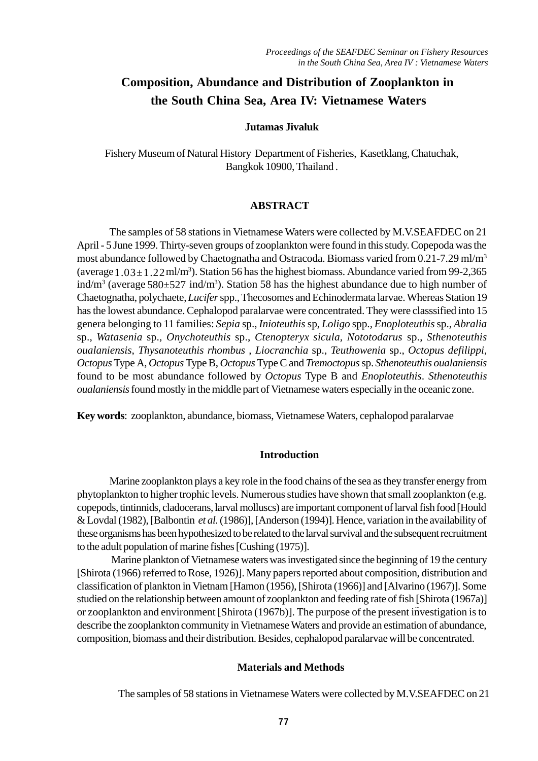# **Composition, Abundance and Distribution of Zooplankton in the South China Sea, Area IV: Vietnamese Waters**

#### **Jutamas Jivaluk**

Fishery Museum of Natural History Department of Fisheries, Kasetklang, Chatuchak, Bangkok 10900, Thailand .

#### **ABSTRACT**

(average  $1.03 \pm 1.22$  ml/m<sup>3</sup>). Station 56 has the highest biomass. Abundance varied from 99-2,365 ind/m<sup>3</sup> (average 580±527 ind/m<sup>3</sup>). Station 58 has the highest abundance due to high number of The samples of 58 stations in Vietnamese Waters were collected by M.V.SEAFDEC on 21 April - 5 June 1999. Thirty-seven groups of zooplankton were found in this study. Copepoda was the most abundance followed by Chaetognatha and Ostracoda. Biomass varied from 0.21-7.29 ml/m<sup>3</sup> Chaetognatha, polychaete, *Lucifer* spp., Thecosomes and Echinodermata larvae. Whereas Station 19 has the lowest abundance. Cephalopod paralarvae were concentrated. They were classsified into 15 genera belonging to 11 families: *Sepia* sp., *Inioteuthis* sp, *Loligo* spp., *Enoploteuthis* sp., *Abralia* sp., *Watasenia* sp., *Onychoteuthis* sp., *Ctenopteryx sicula, Nototodarus* sp., *Sthenoteuthis oualaniensis*, *Thysanoteuthis rhombus* , *Liocranchia* sp., *Teuthowenia* sp., *Octopus defilippi*, *Octopus* Type A, *Octopus* Type B, *Octopus* Type C and *Tremoctopus* sp. *Sthenoteuthis oualaniensis* found to be most abundance followed by *Octopus* Type B and *Enoploteuthis*. *Sthenoteuthis oualaniensis* found mostly in the middle part of Vietnamese waters especially in the oceanic zone.

**Key words**: zooplankton, abundance, biomass, Vietnamese Waters, cephalopod paralarvae

#### **Introduction**

Marine zooplankton plays a key role in the food chains of the sea as they transfer energy from phytoplankton to higher trophic levels. Numerous studies have shown that small zooplankton (e.g. copepods, tintinnids, cladocerans, larval molluscs) are important component of larval fish food [Hould & Lovdal (1982), [Balbontin *et al.* (1986)], [Anderson (1994)]. Hence, variation in the availability of these organisms has been hypothesized to be related to the larval survival and the subsequent recruitment to the adult population of marine fishes [Cushing (1975)].

or zooplankton and environment [Shirota (1967b)]. The purpose of the present investigation is to Marine plankton of Vietnamese waters was investigated since the beginning of 19 the century [Shirota (1966) referred to Rose, 1926)]. Many papers reported about composition, distribution and classification of plankton in Vietnam [Hamon (1956), [Shirota (1966)] and [Alvarino (1967)]. Some studied on the relationship between amount of zooplankton and feeding rate of fish [Shirota (1967a)] describe the zooplankton community in Vietnamese Waters and provide an estimation of abundance, composition, biomass and their distribution. Besides, cephalopod paralarvae will be concentrated.

#### **Materials and Methods**

The samples of 58 stations in Vietnamese Waters were collected by M.V.SEAFDEC on 21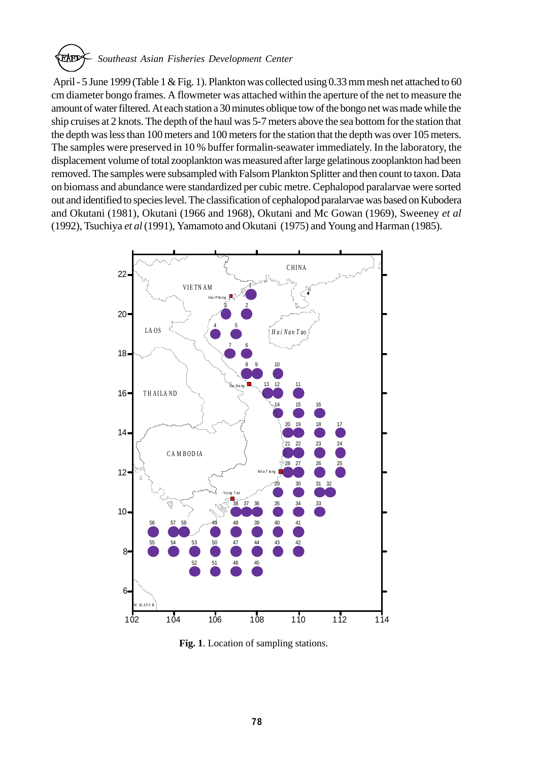*Southeast Asian Fisheries Development Center*

 April - 5 June 1999 (Table 1 & Fig. 1). Plankton was collected using 0.33 mm mesh net attached to 60 cm diameter bongo frames. A flowmeter was attached within the aperture of the net to measure the amount of water filtered. At each station a 30 minutes oblique tow of the bongo net was made while the ship cruises at 2 knots. The depth of the haul was 5-7 meters above the sea bottom for the station that the depth was less than 100 meters and 100 meters for the station that the depth was over 105 meters. The samples were preserved in 10 % buffer formalin-seawater immediately. In the laboratory, the displacement volume of total zooplankton was measured after large gelatinous zooplankton had been removed. The samples were subsampled with Falsom Plankton Splitter and then count to taxon. Data on biomass and abundance were standardized per cubic metre. Cephalopod paralarvae were sorted out and identified to species level. The classification of cephalopod paralarvae was based on Kubodera and Okutani (1981), Okutani (1966 and 1968), Okutani and Mc Gowan (1969), Sweeney *et al* (1992), Tsuchiya *et al* (1991), Yamamoto and Okutani (1975) and Young and Harman (1985).



 **Fig. 1**. Location of sampling stations.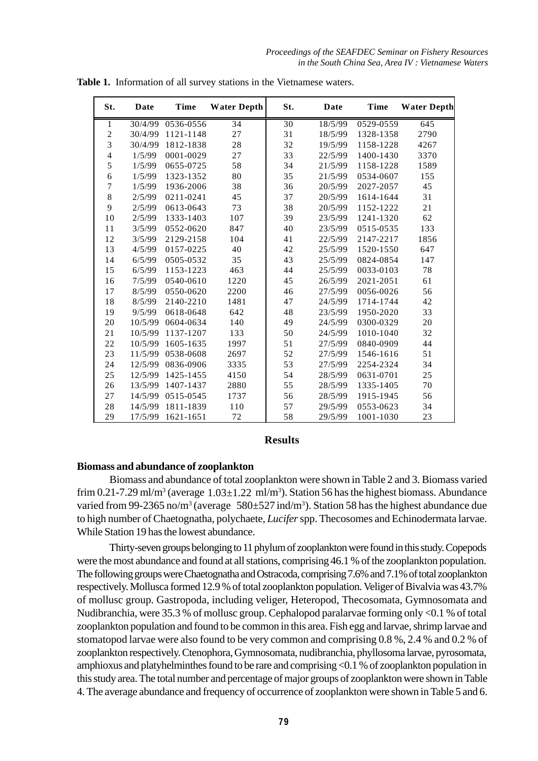*Proceedings of the SEAFDEC Seminar on Fishery Resources in the South China Sea, Area IV : Vietnamese Waters*

| St.            | Date    | <b>Time</b> | <b>Water Depth</b> | St. | Date    | <b>Time</b> | <b>Water Depth</b> |
|----------------|---------|-------------|--------------------|-----|---------|-------------|--------------------|
| 1              | 30/4/99 | 0536-0556   | 34                 | 30  | 18/5/99 | 0529-0559   | 645                |
| $\overline{c}$ | 30/4/99 | 1121-1148   | 27                 | 31  | 18/5/99 | 1328-1358   | 2790               |
| $\overline{3}$ | 30/4/99 | 1812-1838   | 28                 | 32  | 19/5/99 | 1158-1228   | 4267               |
| $\overline{4}$ | 1/5/99  | 0001-0029   | 27                 | 33  | 22/5/99 | 1400-1430   | 3370               |
| 5              | 1/5/99  | 0655-0725   | 58                 | 34  | 21/5/99 | 1158-1228   | 1589               |
| 6              | 1/5/99  | 1323-1352   | 80                 | 35  | 21/5/99 | 0534-0607   | 155                |
| $\overline{7}$ | 1/5/99  | 1936-2006   | 38                 | 36  | 20/5/99 | 2027-2057   | 45                 |
| 8              | 2/5/99  | 0211-0241   | 45                 | 37  | 20/5/99 | 1614-1644   | 31                 |
| 9              | 2/5/99  | 0613-0643   | 73                 | 38  | 20/5/99 | 1152-1222   | 21                 |
| 10             | 2/5/99  | 1333-1403   | 107                | 39  | 23/5/99 | 1241-1320   | 62                 |
| 11             | 3/5/99  | 0552-0620   | 847                | 40  | 23/5/99 | 0515-0535   | 133                |
| 12             | 3/5/99  | 2129-2158   | 104                | 41  | 22/5/99 | 2147-2217   | 1856               |
| 13             | 4/5/99  | 0157-0225   | 40                 | 42  | 25/5/99 | 1520-1550   | 647                |
| 14             | 6/5/99  | 0505-0532   | 35                 | 43  | 25/5/99 | 0824-0854   | 147                |
| 15             | 6/5/99  | 1153-1223   | 463                | 44  | 25/5/99 | 0033-0103   | 78                 |
| 16             | 7/5/99  | 0540-0610   | 1220               | 45  | 26/5/99 | 2021-2051   | 61                 |
| 17             | 8/5/99  | 0550-0620   | 2200               | 46  | 27/5/99 | 0056-0026   | 56                 |
| 18             | 8/5/99  | 2140-2210   | 1481               | 47  | 24/5/99 | 1714-1744   | 42                 |
| 19             | 9/5/99  | 0618-0648   | 642                | 48  | 23/5/99 | 1950-2020   | 33                 |
| 20             | 10/5/99 | 0604-0634   | 140                | 49  | 24/5/99 | 0300-0329   | 20                 |
| 21             | 10/5/99 | 1137-1207   | 133                | 50  | 24/5/99 | 1010-1040   | 32                 |
| 22             | 10/5/99 | 1605-1635   | 1997               | 51  | 27/5/99 | 0840-0909   | 44                 |
| 23             | 11/5/99 | 0538-0608   | 2697               | 52  | 27/5/99 | 1546-1616   | 51                 |
| 24             | 12/5/99 | 0836-0906   | 3335               | 53  | 27/5/99 | 2254-2324   | 34                 |
| 25             | 12/5/99 | 1425-1455   | 4150               | 54  | 28/5/99 | 0631-0701   | 25                 |
| 26             | 13/5/99 | 1407-1437   | 2880               | 55  | 28/5/99 | 1335-1405   | 70                 |
| 27             | 14/5/99 | 0515-0545   | 1737               | 56  | 28/5/99 | 1915-1945   | 56                 |
| 28             | 14/5/99 | 1811-1839   | 110                | 57  | 29/5/99 | 0553-0623   | 34                 |
| 29             | 17/5/99 | 1621-1651   | 72                 | 58  | 29/5/99 | 1001-1030   | 23                 |

**Table 1.** Information of all survey stations in the Vietnamese waters.

#### **Results**

#### **Biomass and abundance of zooplankton**

Biomass and abundance of total zooplankton were shown in Table 2 and 3. Biomass varied frim 0.21-7.29 ml/m<sup>3</sup> (average  $1.03 \pm 1.22$  ml/m<sup>3</sup>). Station 56 has the highest biomass. Abundance varied from 99-2365 no/m<sup>3</sup> (average 580 $\pm$ 527 ind/m<sup>3</sup>). Station 58 has the highest abundance due to high number of Chaetognatha, polychaete, *Lucifer* spp. Thecosomes and Echinodermata larvae. While Station 19 has the lowest abundance.

Thirty-seven groups belonging to 11 phylum of zooplankton were found in this study. Copepods were the most abundance and found at all stations, comprising 46.1 % of the zooplankton population. The following groups were Chaetognatha and Ostracoda, comprising 7.6% and 7.1% of total zooplankton respectively. Mollusca formed 12.9 % of total zooplankton population. Veliger of Bivalvia was 43.7% of mollusc group. Gastropoda, including veliger, Heteropod, Thecosomata, Gymnosomata and Nudibranchia, were 35.3 % of mollusc group. Cephalopod paralarvae forming only <0.1 % of total zooplankton population and found to be common in this area. Fish egg and larvae, shrimp larvae and stomatopod larvae were also found to be very common and comprising 0.8 %, 2.4 % and 0.2 % of zooplankton respectively. Ctenophora, Gymnosomata, nudibranchia, phyllosoma larvae, pyrosomata, amphioxus and platyhelminthes found to be rare and comprising <0.1 % of zooplankton population in this study area. The total number and percentage of major groups of zooplankton were shown in Table 4. The average abundance and frequency of occurrence of zooplankton were shown in Table 5 and 6.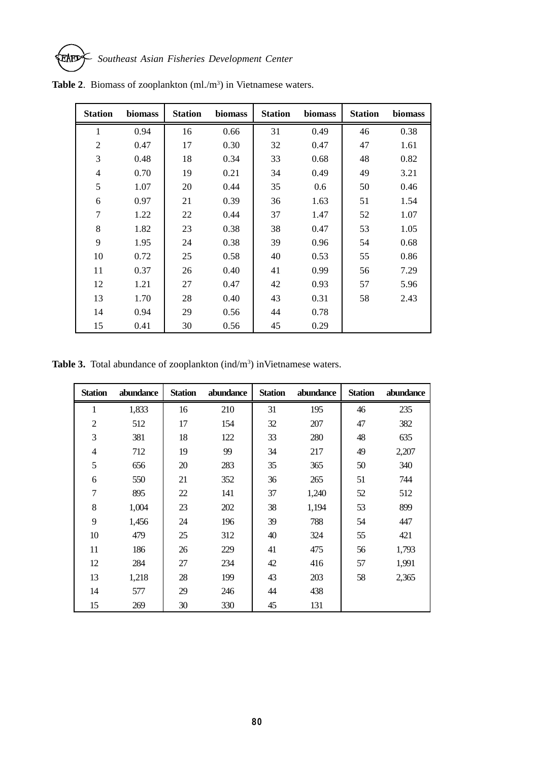

| <b>Station</b> | biomass | <b>Station</b> | biomass | <b>Station</b> | biomass | <b>Station</b> | biomass |
|----------------|---------|----------------|---------|----------------|---------|----------------|---------|
| $\mathbf{1}$   | 0.94    | 16             | 0.66    | 31             | 0.49    | 46             | 0.38    |
| $\mathfrak{2}$ | 0.47    | 17             | 0.30    | 32             | 0.47    | 47             | 1.61    |
| 3              | 0.48    | 18             | 0.34    | 33             | 0.68    | 48             | 0.82    |
| $\overline{4}$ | 0.70    | 19             | 0.21    | 34             | 0.49    | 49             | 3.21    |
| 5              | 1.07    | 20             | 0.44    | 35             | 0.6     | 50             | 0.46    |
| 6              | 0.97    | 21             | 0.39    | 36             | 1.63    | 51             | 1.54    |
| $\tau$         | 1.22    | 22             | 0.44    | 37             | 1.47    | 52             | 1.07    |
| 8              | 1.82    | 23             | 0.38    | 38             | 0.47    | 53             | 1.05    |
| 9              | 1.95    | 24             | 0.38    | 39             | 0.96    | 54             | 0.68    |
| 10             | 0.72    | 25             | 0.58    | 40             | 0.53    | 55             | 0.86    |
| 11             | 0.37    | 26             | 0.40    | 41             | 0.99    | 56             | 7.29    |
| 12             | 1.21    | 27             | 0.47    | 42             | 0.93    | 57             | 5.96    |
| 13             | 1.70    | 28             | 0.40    | 43             | 0.31    | 58             | 2.43    |
| 14             | 0.94    | 29             | 0.56    | 44             | 0.78    |                |         |
| 15             | 0.41    | 30             | 0.56    | 45             | 0.29    |                |         |

Table 2. Biomass of zooplankton (ml./m<sup>3</sup>) in Vietnamese waters.

Table 3. Total abundance of zooplankton (ind/m<sup>3</sup>) inVietnamese waters.

| <b>Station</b> | abundance | <b>Station</b> | abundance | <b>Station</b> | abundance | <b>Station</b> | abundance |
|----------------|-----------|----------------|-----------|----------------|-----------|----------------|-----------|
| $\mathbf{1}$   | 1,833     | 16             | 210       | 31             | 195       | 46             | 235       |
| $\overline{2}$ | 512       | 17             | 154       | 32             | 207       | 47             | 382       |
| 3              | 381       | 18             | 122       | 33             | 280       | 48             | 635       |
| $\overline{4}$ | 712       | 19             | 99        | 34             | 217       | 49             | 2,207     |
| 5              | 656       | 20             | 283       | 35             | 365       | 50             | 340       |
| 6              | 550       | 21             | 352       | 36             | 265       | 51             | 744       |
| $\overline{7}$ | 895       | 22             | 141       | 37             | 1,240     | 52             | 512       |
| 8              | 1,004     | 23             | 202       | 38             | 1,194     | 53             | 899       |
| 9              | 1,456     | 24             | 196       | 39             | 788       | 54             | 447       |
| 10             | 479       | 25             | 312       | 40             | 324       | 55             | 421       |
| 11             | 186       | 26             | 229       | 41             | 475       | 56             | 1,793     |
| 12             | 284       | 27             | 234       | 42             | 416       | 57             | 1,991     |
| 13             | 1,218     | 28             | 199       | 43             | 203       | 58             | 2,365     |
| 14             | 577       | 29             | 246       | 44             | 438       |                |           |
| 15             | 269       | 30             | 330       | 45             | 131       |                |           |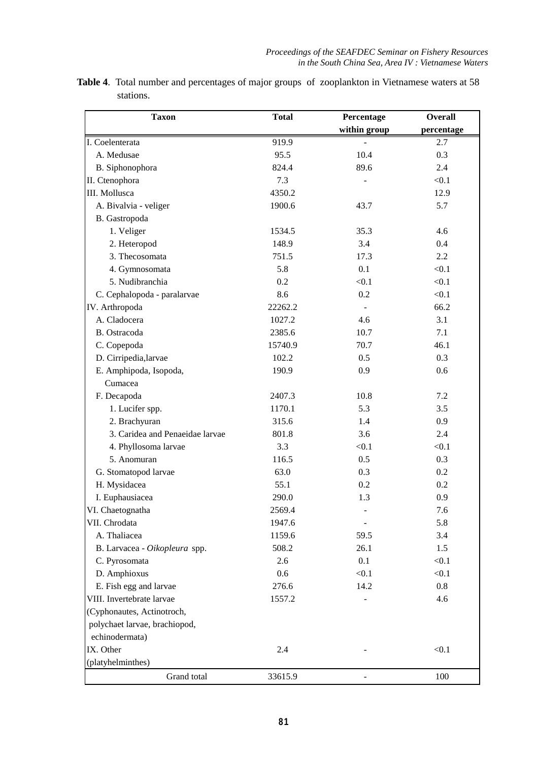| <b>Table 4.</b> Total number and percentages of major groups of zooplankton in Vietnamese waters at 58 |  |  |  |
|--------------------------------------------------------------------------------------------------------|--|--|--|
| stations.                                                                                              |  |  |  |

| <b>Taxon</b>                    | <b>Total</b> | Percentage               | <b>Overall</b> |
|---------------------------------|--------------|--------------------------|----------------|
|                                 |              | within group             | percentage     |
| I. Coelenterata                 | 919.9        |                          | 2.7            |
| A. Medusae                      | 95.5         | 10.4                     | 0.3            |
| B. Siphonophora                 | 824.4        | 89.6                     | 2.4            |
| II. Ctenophora                  | 7.3          |                          | < 0.1          |
| III. Mollusca                   | 4350.2       |                          | 12.9           |
| A. Bivalvia - veliger           | 1900.6       | 43.7                     | 5.7            |
| B. Gastropoda                   |              |                          |                |
| 1. Veliger                      | 1534.5       | 35.3                     | 4.6            |
| 2. Heteropod                    | 148.9        | 3.4                      | 0.4            |
| 3. Thecosomata                  | 751.5        | 17.3                     | 2.2            |
| 4. Gymnosomata                  | 5.8          | 0.1                      | < 0.1          |
| 5. Nudibranchia                 | 0.2          | < 0.1                    | < 0.1          |
| C. Cephalopoda - paralarvae     | 8.6          | 0.2                      | < 0.1          |
| IV. Arthropoda                  | 22262.2      |                          | 66.2           |
| A. Cladocera                    | 1027.2       | 4.6                      | 3.1            |
| B. Ostracoda                    | 2385.6       | 10.7                     | 7.1            |
| C. Copepoda                     | 15740.9      | 70.7                     | 46.1           |
| D. Cirripedia, larvae           | 102.2        | 0.5                      | 0.3            |
| E. Amphipoda, Isopoda,          | 190.9        | 0.9                      | 0.6            |
| Cumacea                         |              |                          |                |
| F. Decapoda                     | 2407.3       | 10.8                     | 7.2            |
| 1. Lucifer spp.                 | 1170.1       | 5.3                      | 3.5            |
| 2. Brachyuran                   | 315.6        | 1.4                      | 0.9            |
| 3. Caridea and Penaeidae larvae | 801.8        | 3.6                      | 2.4            |
| 4. Phyllosoma larvae            | 3.3          | < 0.1                    | < 0.1          |
| 5. Anomuran                     | 116.5        | 0.5                      | 0.3            |
| G. Stomatopod larvae            | 63.0         | 0.3                      | 0.2            |
| H. Mysidacea                    | 55.1         | 0.2                      | 0.2            |
| I. Euphausiacea                 | 290.0        | 1.3                      | 0.9            |
| VI. Chaetognatha                | 2569.4       |                          | 7.6            |
| VII. Chrodata                   | 1947.6       | $\overline{\phantom{a}}$ | 5.8            |
| A. Thaliacea                    | 1159.6       | 59.5                     | 3.4            |
| B. Larvacea - Oikopleura spp.   | 508.2        | 26.1                     | 1.5            |
| C. Pyrosomata                   | 2.6          | 0.1                      | < 0.1          |
| D. Amphioxus                    | 0.6          | < 0.1                    | < 0.1          |
| E. Fish egg and larvae          | 276.6        | 14.2                     | 0.8            |
| VIII. Invertebrate larvae       | 1557.2       |                          | 4.6            |
| (Cyphonautes, Actinotroch,      |              |                          |                |
| polychaet larvae, brachiopod,   |              |                          |                |
| echinodermata)                  |              |                          |                |
| IX. Other                       | 2.4          |                          | < 0.1          |
| (platyhelminthes)               |              |                          |                |
| Grand total                     | 33615.9      |                          | 100            |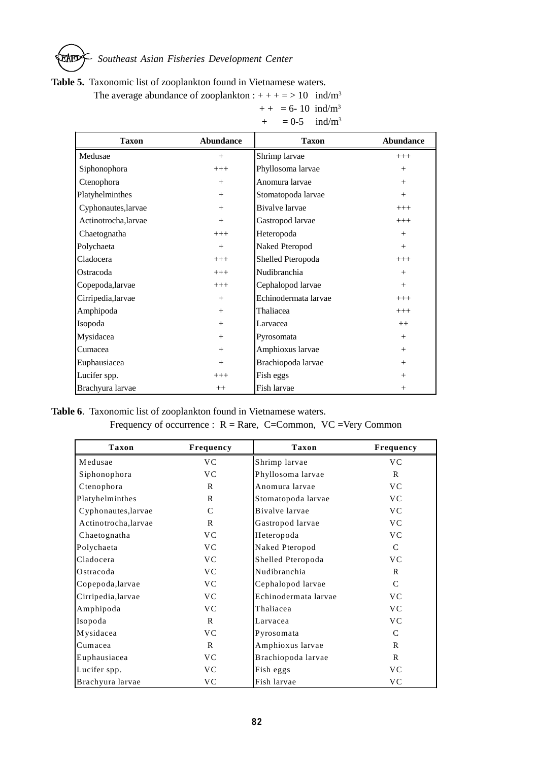# *Southeast Asian Fisheries Development Center* EAFD

#### **Table 5.** Taxonomic list of zooplankton found in Vietnamese waters.

The average abundance of zooplankton :  $+++ = > 10$  ind/m<sup>3</sup>

| <b>Taxon</b>         | <b>Abundance</b> | <b>Taxon</b>          | <b>Abundance</b> |
|----------------------|------------------|-----------------------|------------------|
| Medusae              | $+$              | Shrimp larvae         | $+++$            |
| Siphonophora         | $+++$            | Phyllosoma larvae     | $+$              |
| Ctenophora           | $+$              | Anomura larvae        | $+$              |
| Platyhelminthes      | $+$              | Stomatopoda larvae    | $+$              |
| Cyphonautes, larvae  | $+$              | <b>Bivalve</b> larvae | $+++$            |
| Actinotrocha, larvae | $+$              | Gastropod larvae      | $+++$            |
| Chaetognatha         | $+++$            | Heteropoda            | $+$              |
| Polychaeta           | $+$              | Naked Pteropod        | $+$              |
| Cladocera            | $+++$            | Shelled Pteropoda     | $+++$            |
| Ostracoda            | $+++$            | Nudibranchia          | $+$              |
| Copepoda, larvae     | $+++$            | Cephalopod larvae     | $+$              |
| Cirripedia, larvae   | $+$              | Echinodermata larvae  | $+++$            |
| Amphipoda            | $+$              | Thaliacea             | $+++$            |
| Isopoda              | $^{+}$           | Larvacea              | $++$             |
| Mysidacea            | $+$              | Pyrosomata            | $+$              |
| Cumacea              | $+$              | Amphioxus larvae      | $+$              |
| Euphausiacea         | $+$              | Brachiopoda larvae    | $+$              |
| Lucifer spp.         | $+++$            | Fish eggs             | $+$              |
| Brachyura larvae     | $++$             | Fish larvae           | $+$              |

 $++ = 6 - 10$  ind/m<sup>3</sup>  $+ = 0.5$  ind/m<sup>3</sup>

# **Table 6**. Taxonomic list of zooplankton found in Vietnamese waters. Frequency of occurrence :  $R = Rare$ , C=Common, VC =Very Common

| <b>Taxon</b>         | Frequency      | Taxon                | Frequency      |
|----------------------|----------------|----------------------|----------------|
| Medusae              | VC.            | Shrimp larvae        | V <sub>C</sub> |
| Siphonophora         | <b>VC</b>      | Phyllosoma larvae    | R              |
| Ctenophora           | R              | Anomura larvae       | <b>VC</b>      |
| Platyhelminthes      | $\mathbf{R}$   | Stomatopoda larvae   | V <sub>C</sub> |
| Cyphonautes, larvae  | $\mathcal{C}$  | Bivalve larvae       | <b>VC</b>      |
| Actinotrocha, larvae | $\mathsf{R}$   | Gastropod larvae     | <b>VC</b>      |
| Chaetognatha         | V <sub>C</sub> | Heteropoda           | <b>VC</b>      |
| Polychaeta           | <b>VC</b>      | Naked Pteropod       | $\mathcal{C}$  |
| Cladocera            | V <sub>C</sub> | Shelled Pteropoda    | <b>VC</b>      |
| Ostracoda            | <b>VC</b>      | Nudibranchia         | $\mathbf R$    |
| Copepoda, larvae     | <b>VC</b>      | Cephalopod larvae    | $\mathcal{C}$  |
| Cirripedia, larvae   | <b>VC</b>      | Echinodermata larvae | <b>VC</b>      |
| Amphipoda            | <b>VC</b>      | Thaliacea            | <b>VC</b>      |
| Isopoda              | $\mathbf R$    | Larvacea             | <b>VC</b>      |
| Mysidacea            | V <sub>C</sub> | Pyrosomata           | $\mathcal{C}$  |
| Cumacea              | $\mathbf R$    | Amphioxus larvae     | $\mathbf R$    |
| Euphausiacea         | V <sub>C</sub> | Brachiopoda larvae   | R              |
| Lucifer spp.         | V <sub>C</sub> | Fish eggs            | <b>VC</b>      |
| Brachyura larvae     | <b>VC</b>      | Fish larvae          | <b>VC</b>      |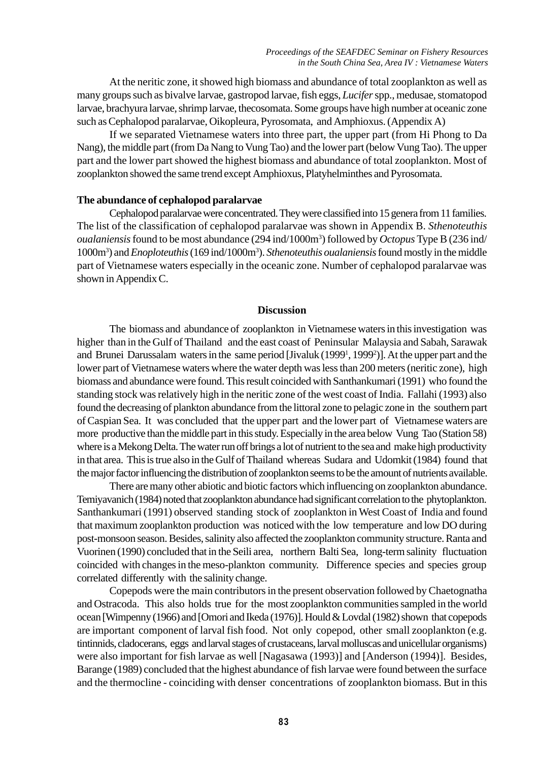At the neritic zone, it showed high biomass and abundance of total zooplankton as well as many groups such as bivalve larvae, gastropod larvae, fish eggs, *Lucifer* spp., medusae, stomatopod larvae, brachyura larvae, shrimp larvae, thecosomata. Some groups have high number at oceanic zone such as Cephalopod paralarvae, Oikopleura, Pyrosomata, and Amphioxus. (Appendix A)

If we separated Vietnamese waters into three part, the upper part (from Hi Phong to Da Nang), the middle part (from Da Nang to Vung Tao) and the lower part (below Vung Tao). The upper part and the lower part showed the highest biomass and abundance of total zooplankton. Most of zooplankton showed the same trend except Amphioxus, Platyhelminthes and Pyrosomata.

#### **The abundance of cephalopod paralarvae**

Cephalopod paralarvae were concentrated. They were classified into 15 genera from 11 families. The list of the classification of cephalopod paralarvae was shown in Appendix B. *Sthenoteuthis oualaniensis* found to be most abundance (294 ind/1000m3 ) followed by *Octopus* Type B (236 ind/ 1000m3 ) and *Enoploteuthis* (169 ind/1000m3 ). *Sthenoteuthis oualaniensis* found mostly in the middle part of Vietnamese waters especially in the oceanic zone. Number of cephalopod paralarvae was shown in Appendix C.

#### **Discussion**

The biomass and abundance of zooplankton in Vietnamese waters in this investigation was higher than in the Gulf of Thailand and the east coast of Peninsular Malaysia and Sabah, Sarawak and Brunei Darussalam waters in the same period [Jivaluk (1999<sup>1</sup>, 1999<sup>2</sup>)]. At the upper part and the lower part of Vietnamese waters where the water depth was less than 200 meters (neritic zone), high biomass and abundance were found. This result coincided with Santhankumari (1991) who found the standing stock was relatively high in the neritic zone of the west coast of India. Fallahi (1993) also found the decreasing of plankton abundance from the littoral zone to pelagic zone in the southern part of Caspian Sea. It was concluded that the upper part and the lower part of Vietnamese waters are more productive than the middle part in this study. Especially in the area below Vung Tao (Station 58) where is a Mekong Delta. The water run off brings a lot of nutrient to the sea and make high productivity in that area. This is true also in the Gulf of Thailand whereas Sudara and Udomkit (1984) found that the major factor influencing the distribution of zooplankton seems to be the amount of nutrients available.

There are many other abiotic and biotic factors which influencing on zooplankton abundance. Temiyavanich (1984) noted that zooplankton abundance had significant correlation to the phytoplankton. Santhankumari (1991) observed standing stock of zooplankton in West Coast of India and found that maximum zooplankton production was noticed with the low temperature and low DO during post-monsoon season. Besides, salinity also affected the zooplankton community structure. Ranta and Vuorinen (1990) concluded that in the Seili area, northern Balti Sea, long-term salinity fluctuation coincided with changes in the meso-plankton community. Difference species and species group correlated differently with the salinity change.

Copepods were the main contributors in the present observation followed by Chaetognatha and Ostracoda. This also holds true for the most zooplankton communities sampled in the world ocean [Wimpenny (1966) and [Omori and Ikeda (1976)]. Hould & Lovdal (1982) shown that copepods are important component of larval fish food. Not only copepod, other small zooplankton (e.g. tintinnids, cladocerans, eggs and larval stages of crustaceans, larval molluscas and unicellular organisms) were also important for fish larvae as well [Nagasawa (1993)] and [Anderson (1994)]. Besides, Barange (1989) concluded that the highest abundance of fish larvae were found between the surface and the thermocline - coinciding with denser concentrations of zooplankton biomass. But in this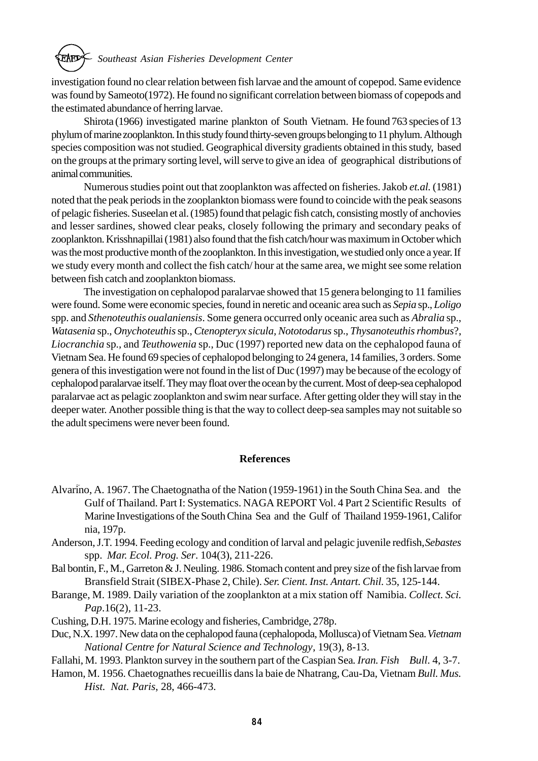# *Southeast Asian Fisheries Development Center*

investigation found no clear relation between fish larvae and the amount of copepod. Same evidence was found by Sameoto(1972). He found no significant correlation between biomass of copepods and the estimated abundance of herring larvae.

Shirota (1966) investigated marine plankton of South Vietnam. He found 763 species of 13 phylum of marine zooplankton. In this study found thirty-seven groups belonging to 11 phylum. Although species composition was not studied. Geographical diversity gradients obtained in this study, based on the groups at the primary sorting level, will serve to give an idea of geographical distributions of animal communities.

Numerous studies point out that zooplankton was affected on fisheries. Jakob *et.al.* (1981) noted that the peak periods in the zooplankton biomass were found to coincide with the peak seasons of pelagic fisheries. Suseelan et al. (1985) found that pelagic fish catch, consisting mostly of anchovies and lesser sardines, showed clear peaks, closely following the primary and secondary peaks of zooplankton. Krisshnapillai (1981) also found that the fish catch/hour was maximum in October which was the most productive month of the zooplankton. In this investigation, we studied only once a year. If we study every month and collect the fish catch/ hour at the same area, we might see some relation between fish catch and zooplankton biomass.

The investigation on cephalopod paralarvae showed that 15 genera belonging to 11 families were found. Some were economic species, found in neretic and oceanic area such as *Sepia* sp., *Loligo* spp. and *Sthenoteuthis oualaniensis*. Some genera occurred only oceanic area such as *Abralia* sp., *Watasenia* sp., *Onychoteuthis* sp., *Ctenopteryx sicula, Nototodarus* sp., *Thysanoteuthis rhombus*?, *Liocranchia* sp., and *Teuthowenia* sp., Duc (1997) reported new data on the cephalopod fauna of Vietnam Sea. He found 69 species of cephalopod belonging to 24 genera, 14 families, 3 orders. Some genera of this investigation were not found in the list of Duc (1997) may be because of the ecology of cephalopod paralarvae itself. They may float over the ocean by the current. Most of deep-sea cephalopod paralarvae act as pelagic zooplankton and swim near surface. After getting older they will stay in the deeper water. Another possible thing is that the way to collect deep-sea samples may not suitable so the adult specimens were never been found.

#### **References**

- Alvarino, A. 1967. The Chaetognatha of the Nation (1959-1961) in the South China Sea. and the Gulf of Thailand. Part I: Systematics. NAGA REPORT Vol. 4 Part 2 Scientific Results of Marine Investigations of the South China Sea and the Gulf of Thailand 1959-1961, Califor nia, 197p.
- Anderson, J.T. 1994. Feeding ecology and condition of larval and pelagic juvenile redfish, *Sebastes* spp. *Mar. Ecol. Prog. Ser*. 104(3), 211-226.
- Bal bontin, F., M., Garreton & J. Neuling. 1986. Stomach content and prey size of the fish larvae from Bransfield Strait (SIBEX-Phase 2, Chile). *Ser. Cient. Inst. Antart. Chil.* 35, 125-144.
- Barange, M. 1989. Daily variation of the zooplankton at a mix station off Namibia. *Collect. Sci. Pap*.16(2), 11-23.
- Cushing, D.H. 1975. Marine ecology and fisheries, Cambridge, 278p.
- Duc, N.X. 1997. New data on the cephalopod fauna (cephalopoda, Mollusca) of Vietnam Sea. *Vietnam National Centre for Natural Science and Technology*, 19(3), 8-13.
- Fallahi, M. 1993. Plankton survey in the southern part of the Caspian Sea*. Iran. Fish Bull*. 4, 3-7.
- Hamon, M. 1956. Chaetognathes recueillis dans la baie de Nhatrang, Cau-Da, Vietnam *Bull. Mus. Hist. Nat. Paris*, 28, 466-473.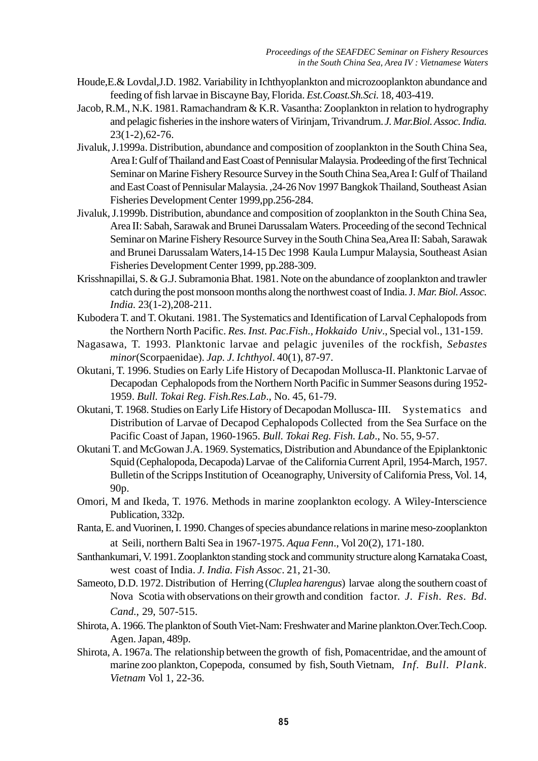- Houde,E.& Lovdal,J.D. 1982. Variability in Ichthyoplankton and microzooplankton abundance and feeding of fish larvae in Biscayne Bay, Florida. *Est.Coast.Sh.Sci.* 18, 403-419.
- Jacob, R.M., N.K. 1981. Ramachandram & K.R. Vasantha: Zooplankton in relation to hydrography and pelagic fisheries in the inshore waters of Virinjam, Trivandrum. *J. Mar.Biol. Assoc. India.* 23(1-2),62-76.
- Jivaluk, J.1999a. Distribution, abundance and composition of zooplankton in the South China Sea, Area I: Gulf of Thailand and East Coast of Pennisular Malaysia. Prodeeding of the first Technical Seminar on Marine Fishery Resource Survey in the South China Sea,Area I: Gulf of Thailand and East Coast of Pennisular Malaysia. ,24-26 Nov 1997 Bangkok Thailand, Southeast Asian Fisheries Development Center 1999,pp.256-284.
- Jivaluk, J.1999b. Distribution, abundance and composition of zooplankton in the South China Sea, Area II: Sabah, Sarawak and Brunei Darussalam Waters. Proceeding of the second Technical Seminar on Marine Fishery Resource Survey in the South China Sea,Area II: Sabah, Sarawak and Brunei Darussalam Waters,14-15 Dec 1998 Kaula Lumpur Malaysia, Southeast Asian Fisheries Development Center 1999, pp.288-309.
- Krisshnapillai, S. & G.J. Subramonia Bhat. 1981. Note on the abundance of zooplankton and trawler catch during the post monsoon months along the northwest coast of India. J*. Mar. Biol. Assoc. India.* 23(1-2),208-211.
- Kubodera T. and T. Okutani. 1981. The Systematics and Identification of Larval Cephalopods from the Northern North Pacific. *Res. Inst. Pac.Fish., Hokkaido Univ*., Special vol., 131-159.
- Nagasawa, T. 1993. Planktonic larvae and pelagic juveniles of the rockfish, *Sebastes minor*(Scorpaenidae). *Jap. J. Ichthyol*. 40(1), 87-97.
- Okutani, T. 1996. Studies on Early Life History of Decapodan Mollusca-II. Planktonic Larvae of Decapodan Cephalopods from the Northern North Pacific in Summer Seasons during 1952- 1959. *Bull. Tokai Reg. Fish.Res.Lab*., No. 45, 61-79.
- Okutani, T. 1968. Studies on Early Life History of Decapodan Mollusca- III. Systematics and Distribution of Larvae of Decapod Cephalopods Collected from the Sea Surface on the Pacific Coast of Japan, 1960-1965. *Bull. Tokai Reg. Fish. Lab*., No. 55, 9-57.
- Okutani T. and McGowan J.A. 1969. Systematics, Distribution and Abundance of the Epiplanktonic Squid (Cephalopoda, Decapoda) Larvae of the California Current April, 1954-March, 1957. Bulletin of the Scripps Institution of Oceanography, University of California Press, Vol. 14, 90p.
- Omori, M and Ikeda, T. 1976. Methods in marine zooplankton ecology. A Wiley-Interscience Publication, 332p.
- Ranta, E. and Vuorinen, I. 1990. Changes of species abundance relations in marine meso-zooplankton at Seili, northern Balti Sea in 1967-1975. *Aqua Fenn*., Vol 20(2), 171-180.
- Santhankumari, V. 1991. Zooplankton standing stock and community structure along Karnataka Coast, west coast of India. *J. India. Fish Assoc*. 21, 21-30.
- Sameoto, D.D. 1972. Distribution of Herring (*Cluplea harengus*) larvae along the southern coast of Nova Scotia with observations on their growth and condition factor. *J. Fish. Res. Bd. Cand.*, 29, 507-515.
- Shirota, A. 1966. The plankton of South Viet-Nam: Freshwater and Marine plankton.Over.Tech.Coop. Agen. Japan, 489p.
- Shirota, A. 1967a. The relationship between the growth of fish, Pomacentridae, and the amount of marine zoo plankton, Copepoda, consumed by fish, South Vietnam, *Inf. Bull. Plank. Vietnam* Vol 1, 22-36.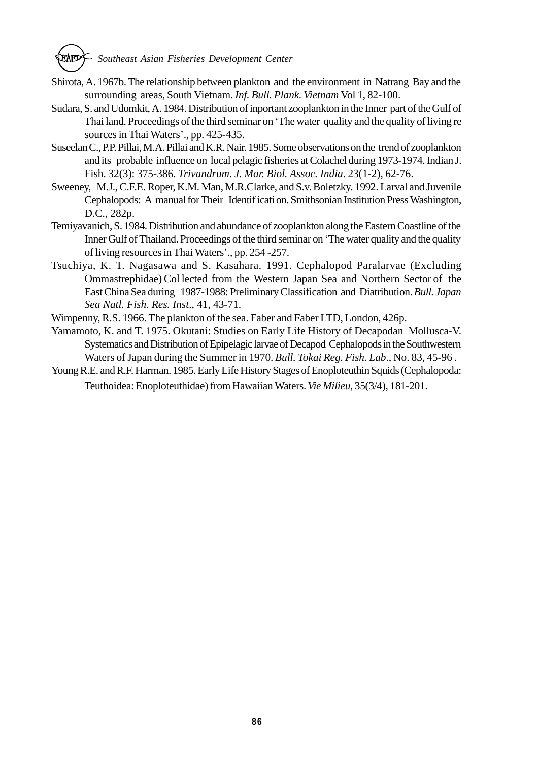

- Shirota, A. 1967b. The relationship between plankton and the environment in Natrang Bay and the surrounding areas, South Vietnam. *Inf. Bull. Plank. Vietnam* Vol 1, 82-100.
- Sudara, S. and Udomkit, A. 1984. Distribution of inportant zooplankton in the Inner part of the Gulf of Thai land. Proceedings of the third seminar on 'The water quality and the quality of living re sources in Thai Waters'., pp. 425-435.
- Suseelan C., P.P. Pillai, M.A. Pillai and K.R. Nair. 1985. Some observations on the trend of zooplankton and its probable influence on local pelagic fisheries at Colachel during 1973-1974. Indian J. Fish. 32(3): 375-386. *Trivandrum. J. Mar. Biol. Assoc. India*. 23(1-2), 62-76.
- Sweeney, M.J., C.F.E. Roper, K.M. Man, M.R.Clarke, and S.v. Boletzky. 1992. Larval and Juvenile Cephalopods: A manual for Their Identif icati on. Smithsonian Institution Press Washington, D.C., 282p.
- Temiyavanich, S. 1984. Distribution and abundance of zooplankton along the Eastern Coastline of the Inner Gulf of Thailand. Proceedings of the third seminar on 'The water quality and the quality of living resources in Thai Waters'., pp. 254 -257.
- Tsuchiya, K. T. Nagasawa and S. Kasahara. 1991. Cephalopod Paralarvae (Excluding Ommastrephidae) Col lected from the Western Japan Sea and Northern Sector of the East China Sea during 1987-1988: Preliminary Classification and Diatribution. *Bull. Japan Sea Natl. Fish. Res. Inst*., 41, 43-71.
- Wimpenny, R.S. 1966. The plankton of the sea. Faber and Faber LTD, London, 426p.
- Yamamoto, K. and T. 1975. Okutani: Studies on Early Life History of Decapodan Mollusca-V. Systematics and Distribution of Epipelagic larvae of Decapod Cephalopods in the Southwestern Waters of Japan during the Summer in 1970. *Bull. Tokai Reg. Fish. Lab*., No. 83, 45-96 .
- Young R.E. and R.F. Harman. 1985. Early Life History Stages of Enoploteuthin Squids (Cephalopoda: Teuthoidea: Enoploteuthidae) from Hawaiian Waters. *Vie Milieu*, 35(3/4), 181-201.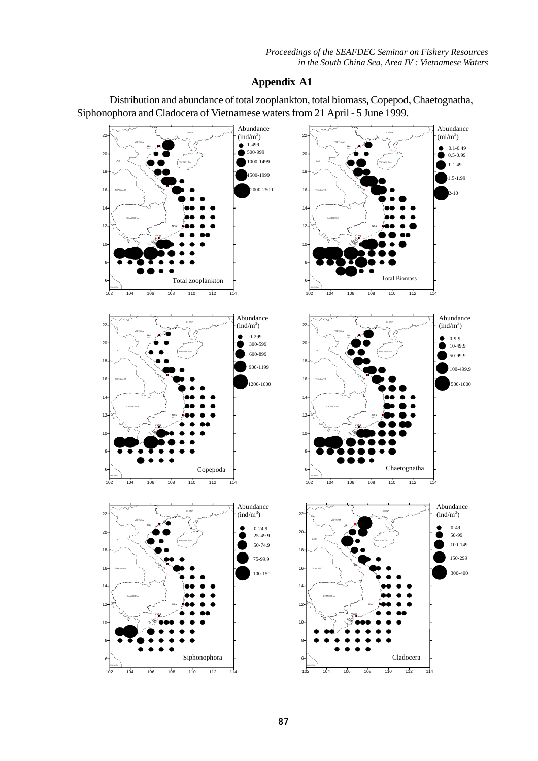Distribution and abundance of total zooplankton, total biomass, Copepod, Chaetognatha, Siphonophora and Cladocera of Vietnamese waters from 21 April - 5 June 1999.

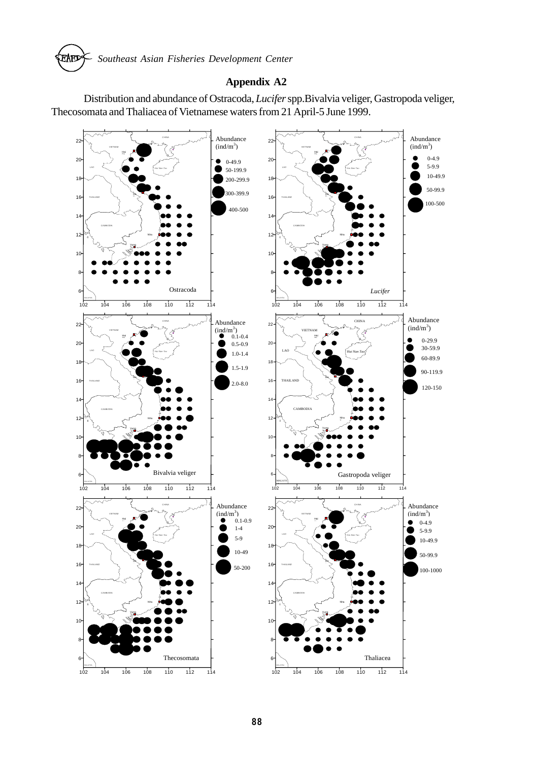

Distribution and abundance of Ostracoda, *Lucifer* spp.Bivalvia veliger, Gastropoda veliger, Thecosomata and Thaliacea of Vietnamese waters from 21 April-5 June 1999.

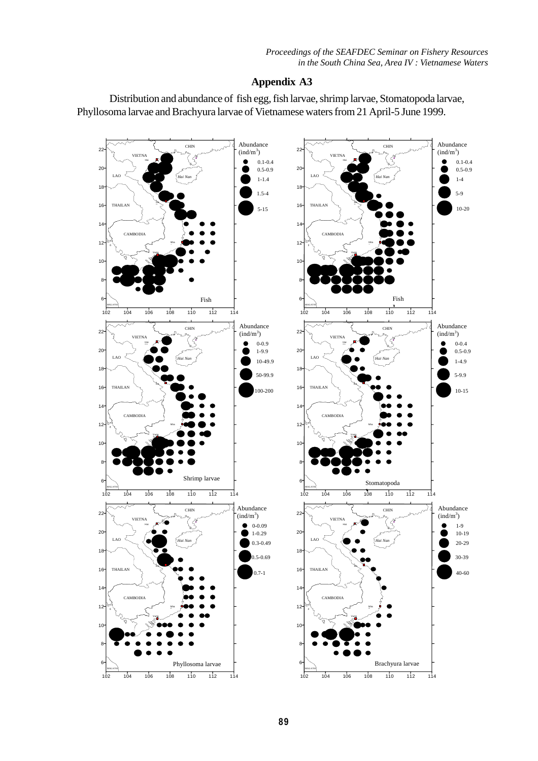Distribution and abundance of fish egg, fish larvae, shrimp larvae, Stomatopoda larvae, Phyllosoma larvae and Brachyura larvae of Vietnamese waters from 21 April-5 June 1999.

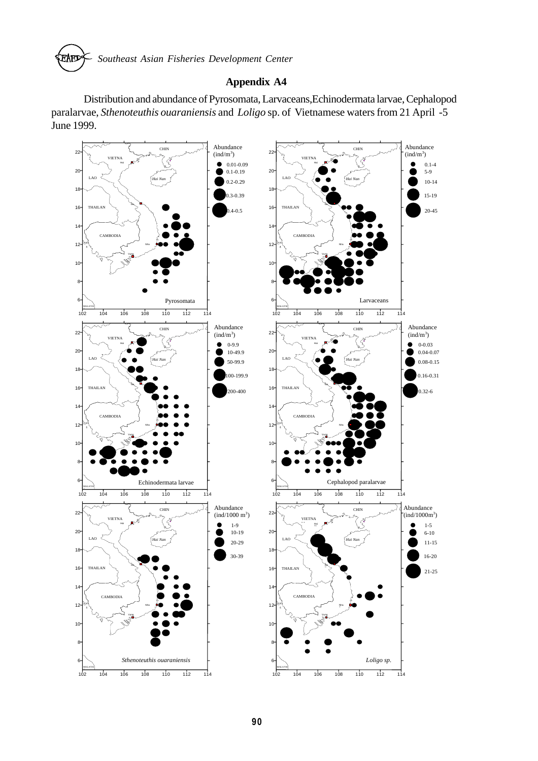

Distribution and abundance of Pyrosomata, Larvaceans,Echinodermata larvae, Cephalopod paralarvae, *Sthenoteuthis ouaraniensis* and *Loligo* sp. of Vietnamese waters from 21 April -5 June 1999.

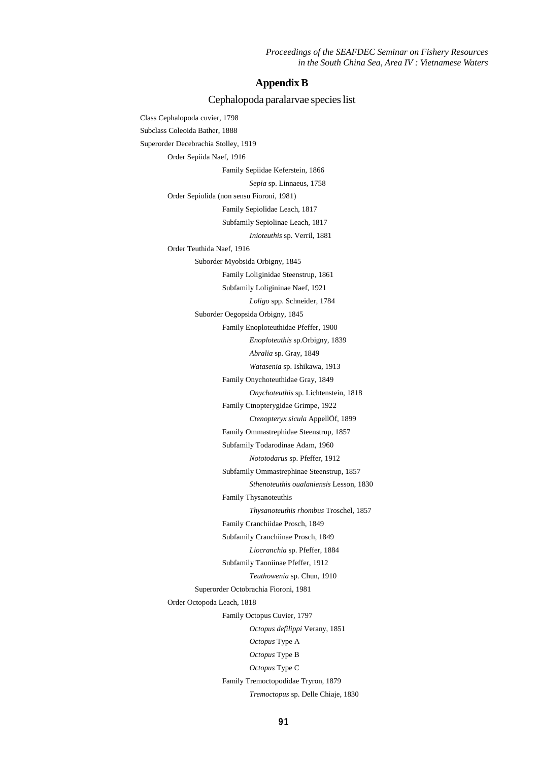*Proceedings of the SEAFDEC Seminar on Fishery Resources in the South China Sea, Area IV : Vietnamese Waters*

#### **Appendix B**

Cephalopoda paralarvae species list

Class Cephalopoda cuvier, 1798 Subclass Coleoida Bather, 1888 Superorder Decebrachia Stolley, 1919 Order Sepiida Naef, 1916 Family Sepiidae Keferstein, 1866 *Sepia* sp. Linnaeus, 1758 Order Sepiolida (non sensu Fioroni, 1981) Family Sepiolidae Leach, 1817 Subfamily Sepiolinae Leach, 1817 *Inioteuthis* sp. Verril, 1881 Order Teuthida Naef, 1916 Suborder Myobsida Orbigny, 1845 Family Loliginidae Steenstrup, 1861 Subfamily Loligininae Naef, 1921 *Loligo* spp. Schneider, 1784 Suborder Oegopsida Orbigny, 1845 Family Enoploteuthidae Pfeffer, 1900 *Enoploteuthis* sp.Orbigny, 1839 *Abralia* sp. Gray, 1849 *Watasenia* sp. Ishikawa, 1913 Family Onychoteuthidae Gray, 1849 *Onychoteuthis* sp. Lichtenstein, 1818 Family Ctnopterygidae Grimpe, 1922 *Ctenopteryx sicula* AppellÖf, 1899 Family Ommastrephidae Steenstrup, 1857 Subfamily Todarodinae Adam, 1960 *Nototodarus* sp. Pfeffer, 1912 Subfamily Ommastrephinae Steenstrup, 1857 *Sthenoteuthis oualaniensis* Lesson, 1830 Family Thysanoteuthis *Thysanoteuthis rhombus* Troschel, 1857 Family Cranchiidae Prosch, 1849 Subfamily Cranchiinae Prosch, 1849 *Liocranchia* sp. Pfeffer, 1884 Subfamily Taoniinae Pfeffer, 1912 *Teuthowenia* sp. Chun, 1910 Superorder Octobrachia Fioroni, 1981 Order Octopoda Leach, 1818 Family Octopus Cuvier, 1797 *Octopus defilippi* Verany, 1851 *Octopus* Type A *Octopus* Type B *Octopus* Type C Family Tremoctopodidae Tryron, 1879 *Tremoctopus* sp. Delle Chiaje, 1830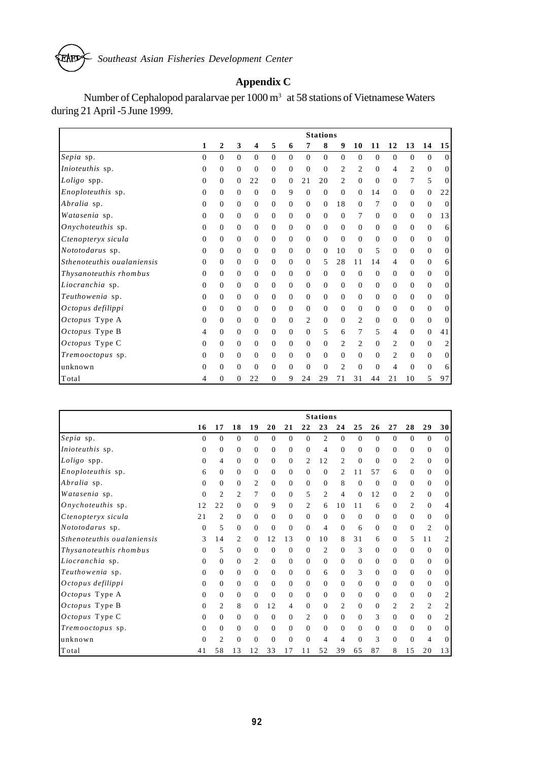*Southeast Asian Fisheries Development Center* EAED

# **Appendix C**

Number of Cephalopod paralarvae per 1000 m<sup>3</sup> at 58 stations of Vietnamese Waters during 21 April -5 June 1999.

|                            |                |          |                  |                |              |                |                | <b>Stations</b> |                  |                |                |                |                |                |                  |
|----------------------------|----------------|----------|------------------|----------------|--------------|----------------|----------------|-----------------|------------------|----------------|----------------|----------------|----------------|----------------|------------------|
|                            | 1              | 2        | 3                | 4              | 5            | 6              | 7              | 8               | 9                | 10             | 11             | 12             | 13             | 14             | 15               |
| Sepia sp.                  | $\theta$       | $\Omega$ | $\overline{0}$   | $\theta$       | $\theta$     | $\mathbf{0}$   | $\mathbf{0}$   | $\mathbf{0}$    | $\overline{0}$   | $\theta$       | $\overline{0}$ | $\mathbf{0}$   | $\theta$       | $\mathbf{0}$   | $\vert 0 \vert$  |
| Inioteuthis sp.            | 0              | 0        | $\boldsymbol{0}$ | $\overline{0}$ | $\Omega$     | $\mathbf{0}$   | $\mathbf{0}$   | $\overline{0}$  | 2                | 2              | $\overline{0}$ | $\overline{4}$ | $\overline{c}$ | $\Omega$       | 0                |
| Loligo spp.                | $\overline{0}$ | 0        | $\theta$         | 22             | $\mathbf{0}$ | $\mathbf{0}$   | 21             | 20              | 2                | $\mathbf{0}$   | $\mathbf{0}$   | $\mathbf{0}$   | 7              | 5              | $\vert 0 \vert$  |
| Enoploteuthis sp.          | $\overline{0}$ | 0        | $\theta$         | $\mathbf{0}$   | $\Omega$     | 9              | $\Omega$       | $\theta$        | $\overline{0}$   | $\Omega$       | 14             | $\mathbf{0}$   | $\Omega$       | $\mathbf{0}$   | 22               |
| Abralia sp.                | 0              | 0        | $\theta$         | $\mathbf{0}$   | 0            | $\mathbf{0}$   | $\theta$       | $\theta$        | 18               | $\theta$       | 7              | $\mathbf{0}$   | $\Omega$       | $\theta$       | $\mathbf{0}$     |
| Watasenia sp.              | $\overline{0}$ | 0        | $\theta$         | $\theta$       | $\mathbf{0}$ | $\mathbf{0}$   | $\mathbf{0}$   | $\theta$        | $\boldsymbol{0}$ | 7              | $\mathbf{0}$   | $\mathbf{0}$   | $\Omega$       | $\theta$       | 13               |
| Onychoteuthis sp.          | $\Omega$       | 0        | $\theta$         | $\theta$       | $\Omega$     | $\mathbf{0}$   | $\Omega$       | $\Omega$        | $\overline{0}$   | $\Omega$       | $\Omega$       | $\mathbf{0}$   | $\Omega$       | $\Omega$       | 6 <sup>1</sup>   |
| Ctenopteryx sicula         | 0              | 0        | $\theta$         | $\mathbf{0}$   | $\Omega$     | $\mathbf{0}$   | $\mathbf{0}$   | $\overline{0}$  | $\theta$         | $\Omega$       | $\overline{0}$ | $\mathbf{0}$   | $\Omega$       | $\mathbf{0}$   | 0                |
| Nototodarus sp.            | $\overline{0}$ | 0        | $\theta$         | $\theta$       | $\mathbf{0}$ | $\mathbf{0}$   | $\mathbf{0}$   | $\theta$        | 10               | $\mathbf{0}$   | 5              | $\mathbf{0}$   | $\Omega$       | $\mathbf{0}$   | $\vert 0 \vert$  |
| Sthenoteuthis ouglaniensis | 0              | 0        | $\theta$         | $\mathbf{0}$   | 0            | $\mathbf{0}$   | $\mathbf{0}$   | 5               | 28               | 11             | 14             | $\overline{4}$ | $\Omega$       | $\mathbf{0}$   | 6 <sup>1</sup>   |
| Thysanoteuthis rhombus     | $\Omega$       | 0        | $\theta$         | $\mathbf{0}$   | $\Omega$     | $\mathbf{0}$   | $\mathbf{0}$   | $\theta$        | $\theta$         | $\Omega$       | $\Omega$       | $\mathbf{0}$   | $\Omega$       | $\overline{0}$ | $\vert 0 \vert$  |
| Liocranchia sp.            | $\theta$       | 0        | $\theta$         | $\theta$       | $\Omega$     | $\mathbf{0}$   | $\Omega$       | $\Omega$        | $\theta$         | $\Omega$       | $\overline{0}$ | $\overline{0}$ | $\Omega$       | $\Omega$       | 0                |
| Teuthowenia sp.            | 0              | 0        | $\theta$         | $\Omega$       | $\Omega$     | $\overline{0}$ | $\Omega$       | $\Omega$        | $\mathbf{0}$     | $\Omega$       | $\Omega$       | $\overline{0}$ | $\Omega$       | $\Omega$       | 0                |
| Octopus defilippi          | $\overline{0}$ | 0        | $\theta$         | $\theta$       | $\Omega$     | $\mathbf{0}$   | $\mathbf{0}$   | $\mathbf{0}$    | $\theta$         | $\theta$       | $\mathbf{0}$   | $\overline{0}$ | $\Omega$       | $\mathbf{0}$   | $\vert 0 \vert$  |
| Octopus Type A             | 0              | 0        | $\overline{0}$   | $\overline{0}$ | $\mathbf{0}$ | $\mathbf{0}$   | 2              | $\theta$        | $\overline{0}$   | 2              | $\overline{0}$ | $\mathbf{0}$   | $\theta$       | $\theta$       | $\vert 0 \vert$  |
| Octopus Type B             | 4              | 0        | $\mathbf{0}$     | $\Omega$       | $\Omega$     | $\mathbf{0}$   | $\Omega$       | 5               | 6                | 7              | 5              | $\overline{4}$ | $\Omega$       | $\Omega$       | 41               |
| Octopus Type C             | $\overline{0}$ | 0        | $\overline{0}$   | $\Omega$       | $\Omega$     | $\mathbf{0}$   | $\Omega$       | $\Omega$        | 2                | $\overline{c}$ | $\Omega$       | $\overline{2}$ | $\Omega$       | $\Omega$       | $\boldsymbol{2}$ |
| Tremooctopus sp.           | 0              | 0        | $\overline{0}$   | $\mathbf{0}$   | $\Omega$     | $\mathbf{0}$   | $\Omega$       | $\Omega$        | $\theta$         | $\Omega$       | $\mathbf{0}$   | $\overline{c}$ | $\Omega$       | $\mathbf{0}$   | $\vert 0 \vert$  |
| unknown                    | $\overline{0}$ | 0        | $\overline{0}$   | $\mathbf{0}$   | 0            | $\mathbf{0}$   | $\overline{0}$ | $\overline{0}$  | 2                | $\theta$       | $\overline{0}$ | 4              | $\Omega$       | $\mathbf{0}$   | 6 <sup>1</sup>   |
| Total                      | 4              | 0        | $\overline{0}$   | 22             | $\mathbf{0}$ | 9              | 24             | 29              | 71               | 31             | 44             | 21             | 10             | 5              | 97               |

|                            |              |                |              |              |              |                |                | <b>Stations</b> |                |          |              |                |          |                |                 |
|----------------------------|--------------|----------------|--------------|--------------|--------------|----------------|----------------|-----------------|----------------|----------|--------------|----------------|----------|----------------|-----------------|
|                            | 16           | 17             | 18           | 19           | 20           | 21             | 22             | 23              | 24             | 25       | 26           | 27             | 28       | 29             | 30              |
| Sepia sp.                  | $\Omega$     | $\theta$       | $\Omega$     | $\Omega$     | $\Omega$     | $\overline{0}$ | $\Omega$       | 2               | $\overline{0}$ | $\theta$ | $\Omega$     | $\Omega$       | $\Omega$ | $\Omega$       | $\vert 0 \vert$ |
| <i>Inioteuthis</i> sp.     | 0            | $\mathbf{0}$   | $\mathbf{0}$ | $\Omega$     | $\mathbf{0}$ | $\mathbf{0}$   | $\overline{0}$ | 4               | $\mathbf{0}$   | $\Omega$ | $\mathbf{0}$ | $\mathbf{0}$   | $\Omega$ | $\mathbf{0}$   | $\overline{0}$  |
| Loligo spp.                | $\mathbf{0}$ | 4              | $\mathbf{0}$ | $\mathbf{0}$ | $\mathbf{0}$ | $\mathbf{0}$   | 2              | 12              | $\overline{2}$ | $\theta$ | $\mathbf{0}$ | $\mathbf{0}$   | 2        | $\mathbf{0}$   | $\vert 0 \vert$ |
| <i>Enoploteuthis</i> sp.   | 6            | $\Omega$       | $\mathbf{0}$ | $\Omega$     | $\Omega$     | $\overline{0}$ | $\Omega$       | $\Omega$        | $\overline{c}$ | 11       | 57           | 6              | $\Omega$ | $\Omega$       | $\vert 0 \vert$ |
| Abralia sp.                | 0            | $\Omega$       | $\mathbf{0}$ | 2            | $\Omega$     | $\mathbf{0}$   | $\overline{0}$ | $\Omega$        | 8              | $\Omega$ | $\theta$     | $\mathbf{0}$   | $\Omega$ | $\mathbf{0}$   | 0               |
| Watasenia sp.              | $\Omega$     | 2              | 2            | 7            | $\mathbf{0}$ | $\mathbf{0}$   | 5              | 2               | 4              | $\theta$ | 12           | $\overline{0}$ | 2        | $\mathbf{0}$   | 0               |
| Onychoteuthis sp.          | 12           | 22             | $\Omega$     | $\Omega$     | 9            | $\overline{0}$ | 2              | 6               | 10             | 11       | 6            | $\overline{0}$ | 2        | $\Omega$       | $\overline{4}$  |
| Ctenopteryx sicula         | 21           | 2              | $\mathbf{0}$ | $\Omega$     | $\Omega$     | $\mathbf{0}$   | $\Omega$       | $\Omega$        | $\mathbf{0}$   | $\Omega$ | $\Omega$     | $\Omega$       | $\Omega$ | $\Omega$       | $\vert 0 \vert$ |
| Nototodarus sp.            | 0            | 5              | $\mathbf{0}$ | $\Omega$     | $\Omega$     | $\mathbf{0}$   | $\Omega$       | $\overline{4}$  | $\Omega$       | 6        | $\Omega$     | $\overline{0}$ | $\Omega$ | $\overline{2}$ | $\vert 0 \vert$ |
| Sthenoteuthis ouglaniensis | 3            | 14             | 2            | $\Omega$     | 12           | 13             | $\Omega$       | 10              | 8              | 31       | 6            | $\overline{0}$ | 5        | 11             | $\overline{c}$  |
| Thysanoteuthis rhombus     | 0            | 5              | $\mathbf{0}$ | $\Omega$     | $\Omega$     | $\mathbf{0}$   | $\Omega$       | 2               | $\Omega$       | 3        | $\Omega$     | $\overline{0}$ | $\Omega$ | $\Omega$       | $\vert 0 \vert$ |
| Liocranchia sp.            | $\Omega$     | $\Omega$       | $\mathbf{0}$ | 2            | $\Omega$     | $\mathbf{0}$   | $\Omega$       | $\Omega$        | $\Omega$       | $\Omega$ | $\Omega$     | $\overline{0}$ | $\Omega$ | $\Omega$       | $\vert 0 \vert$ |
| Teuthowenia sp.            | $\Omega$     | $\Omega$       | $\mathbf{0}$ | $\Omega$     | $\Omega$     | $\mathbf{0}$   | $\Omega$       | 6               | $\overline{0}$ | 3        | $\Omega$     | $\overline{0}$ | $\Omega$ | $\Omega$       | $\vert 0 \vert$ |
| Octopus defilippi          | $\Omega$     | $\Omega$       | $\mathbf{0}$ | $\Omega$     | $\Omega$     | $\overline{0}$ | $\Omega$       | $\Omega$        | $\overline{0}$ | $\Omega$ | $\Omega$     | $\overline{0}$ | $\Omega$ | $\mathbf{0}$   | $\vert 0 \vert$ |
| Octopus Type A             | $\Omega$     | $\Omega$       | $\mathbf{0}$ | $\Omega$     | $\Omega$     | $\mathbf{0}$   | $\Omega$       | $\mathbf{0}$    | $\overline{0}$ | $\theta$ | $\Omega$     | $\overline{0}$ | $\Omega$ | $\mathbf{0}$   | $\overline{c}$  |
| Octopus Type B             | $\Omega$     | 2              | 8            | $\Omega$     | 12           | 4              | $\Omega$       | $\mathbf{0}$    | 2              | $\Omega$ | 0            | 2              | 2        | 2              | $\overline{c}$  |
| Octopus Type C             | $\Omega$     | $\Omega$       | $\Omega$     | $\Omega$     | $\Omega$     | $\overline{0}$ | $\overline{2}$ | $\Omega$        | $\Omega$       | $\Omega$ | 3            | $\mathbf{0}$   | $\Omega$ | $\Omega$       | $\overline{c}$  |
| Tremooctopus sp.           | 0            | $\Omega$       | $\mathbf{0}$ | $\Omega$     | $\Omega$     | $\mathbf{0}$   | $\Omega$       | $\Omega$        | $\mathbf{0}$   | $\Omega$ | $\mathbf{0}$ | $\overline{0}$ | $\Omega$ | $\mathbf{0}$   | $\vert 0 \vert$ |
| unknown                    | $\Omega$     | $\overline{c}$ | $\mathbf{0}$ | $\Omega$     | $\Omega$     | $\overline{0}$ | $\Omega$       | 4               | 4              | $\Omega$ | 3            | $\overline{0}$ | $\Omega$ | $\overline{4}$ | 0               |
| Total                      | 41           | 58             | 13           | 12           | 33           | 17             | 11             | 52              | 39             | 65       | 87           | 8              | 15       | 20             | 13              |